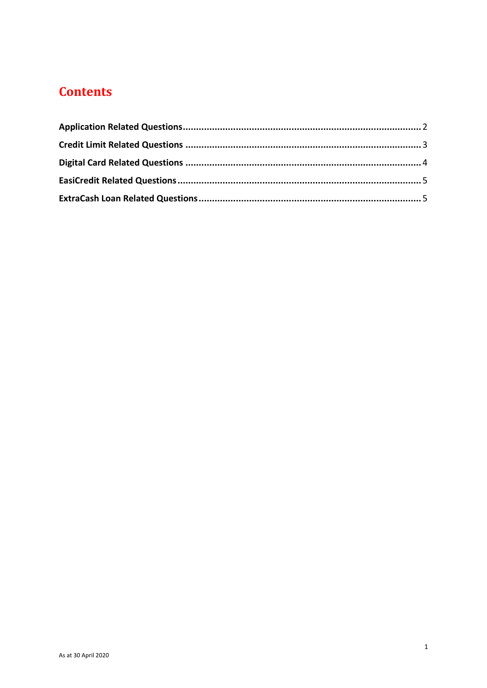# **Contents**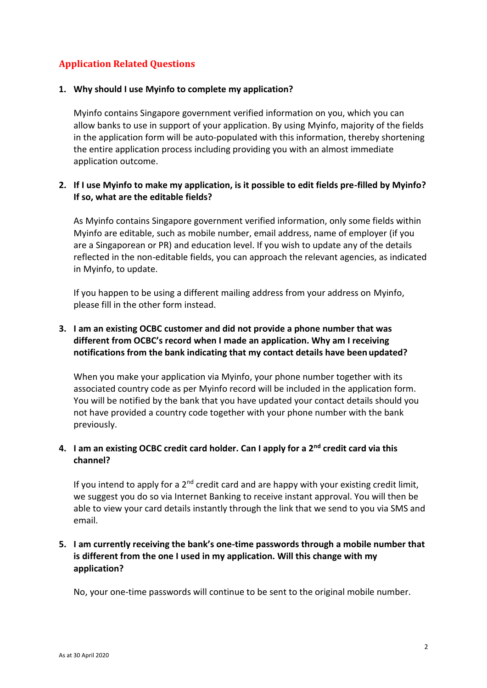# <span id="page-1-0"></span>**Application Related Questions**

#### **1. Why should I use Myinfo to complete my application?**

Myinfo contains Singapore government verified information on you, which you can allow banks to use in support of your application. By using Myinfo, majority of the fields in the application form will be auto-populated with this information, thereby shortening the entire application process including providing you with an almost immediate application outcome.

# **2. If I use Myinfo to make my application, is it possible to edit fields pre-filled by Myinfo? If so, what are the editable fields?**

As Myinfo contains Singapore government verified information, only some fields within Myinfo are editable, such as mobile number, email address, name of employer (if you are a Singaporean or PR) and education level. If you wish to update any of the details reflected in the non-editable fields, you can approach the relevant agencies, as indicated in Myinfo, to update.

If you happen to be using a different mailing address from your address on Myinfo, please fill in the other form instead.

# **3. I am an existing OCBC customer and did not provide a phone number that was different from OCBC's record when I made an application. Why am I receiving notifications from the bank indicating that my contact details have been updated?**

When you make your application via Myinfo, your phone number together with its associated country code as per Myinfo record will be included in the application form. You will be notified by the bank that you have updated your contact details should you not have provided a country code together with your phone number with the bank previously.

# 4. I am an existing OCBC credit card holder. Can I apply for a 2<sup>nd</sup> credit card via this **channel?**

If you intend to apply for a  $2<sup>nd</sup>$  credit card and are happy with your existing credit limit, we suggest you do so via Internet Banking to receive instant approval. You will then be able to view your card details instantly through the link that we send to you via SMS and email.

# **5. I am currently receiving the bank's one-time passwords through a mobile number that is different from the one I used in my application. Will this change with my application?**

No, your one-time passwords will continue to be sent to the original mobile number.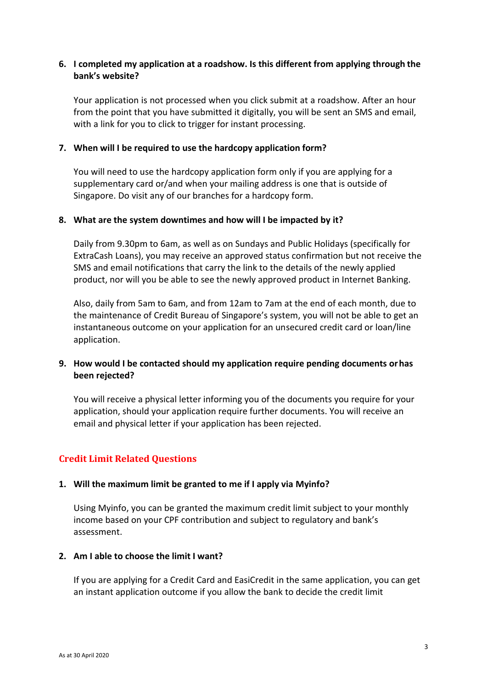## **6. I completed my application at a roadshow. Is this different from applying through the bank's website?**

Your application is not processed when you click submit at a roadshow. After an hour from the point that you have submitted it digitally, you will be sent an SMS and email, with a link for you to click to trigger for instant processing.

#### **7. When will I be required to use the hardcopy application form?**

You will need to use the hardcopy application form only if you are applying for a supplementary card or/and when your mailing address is one that is outside of Singapore. Do visit any of our branches for a hardcopy form.

## **8. What are the system downtimes and how will I be impacted by it?**

Daily from 9.30pm to 6am, as well as on Sundays and Public Holidays (specifically for ExtraCash Loans), you may receive an approved status confirmation but not receive the SMS and email notifications that carry the link to the details of the newly applied product, nor will you be able to see the newly approved product in Internet Banking.

Also, daily from 5am to 6am, and from 12am to 7am at the end of each month, due to the maintenance of Credit Bureau of Singapore's system, you will not be able to get an instantaneous outcome on your application for an unsecured credit card or loan/line application.

## **9. How would I be contacted should my application require pending documents orhas been rejected?**

You will receive a physical letter informing you of the documents you require for your application, should your application require further documents. You will receive an email and physical letter if your application has been rejected.

# <span id="page-2-0"></span>**Credit Limit Related Questions**

#### **1. Will the maximum limit be granted to me if I apply via Myinfo?**

Using Myinfo, you can be granted the maximum credit limit subject to your monthly income based on your CPF contribution and subject to regulatory and bank's assessment.

#### **2. Am I able to choose the limit I want?**

If you are applying for a Credit Card and EasiCredit in the same application, you can get an instant application outcome if you allow the bank to decide the credit limit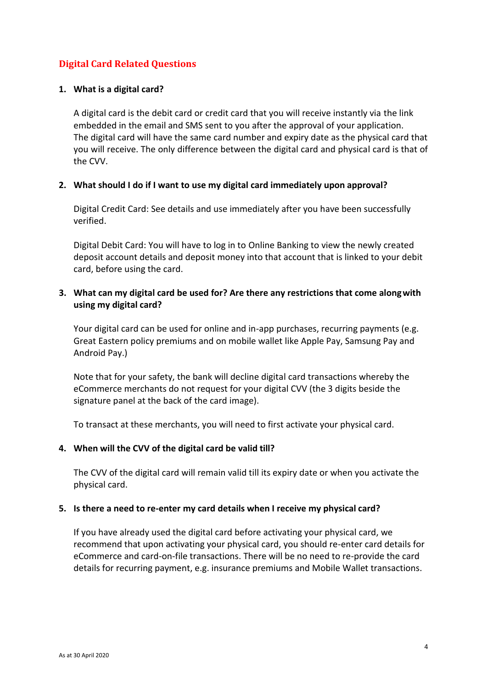# <span id="page-3-0"></span>**Digital Card Related Questions**

#### **1. What is a digital card?**

A digital card is the debit card or credit card that you will receive instantly via the link embedded in the email and SMS sent to you after the approval of your application. The digital card will have the same card number and expiry date as the physical card that you will receive. The only difference between the digital card and physical card is that of the CVV.

#### **2. What should I do if I want to use my digital card immediately upon approval?**

Digital Credit Card: See details and use immediately after you have been successfully verified.

Digital Debit Card: You will have to log in to Online Banking to view the newly created deposit account details and deposit money into that account that is linked to your debit card, before using the card.

## **3. What can my digital card be used for? Are there any restrictions that come alongwith using my digital card?**

Your digital card can be used for online and in-app purchases, recurring payments (e.g. Great Eastern policy premiums and on mobile wallet like Apple Pay, Samsung Pay and Android Pay.)

Note that for your safety, the bank will decline digital card transactions whereby the eCommerce merchants do not request for your digital CVV (the 3 digits beside the signature panel at the back of the card image).

To transact at these merchants, you will need to first activate your physical card.

#### **4. When will the CVV of the digital card be valid till?**

The CVV of the digital card will remain valid till its expiry date or when you activate the physical card.

#### **5. Is there a need to re-enter my card details when I receive my physical card?**

If you have already used the digital card before activating your physical card, we recommend that upon activating your physical card, you should re-enter card details for eCommerce and card-on-file transactions. There will be no need to re-provide the card details for recurring payment, e.g. insurance premiums and Mobile Wallet transactions.